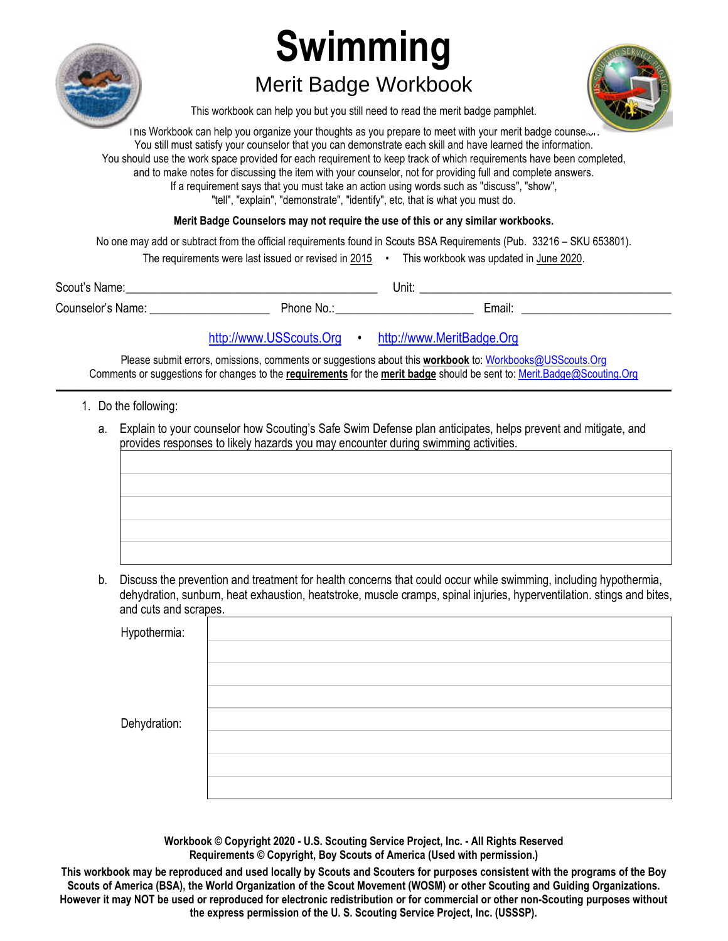

# **Swimming**

## Merit Badge Workbook



This workbook can help you but you still need to read the merit badge pamphlet.

I his Workbook can help you organize your thoughts as you prepare to meet with your merit badge counselor. You still must satisfy your counselor that you can demonstrate each skill and have learned the information. You should use the work space provided for each requirement to keep track of which requirements have been completed, and to make notes for discussing the item with your counselor, not for providing full and complete answers. If a requirement says that you must take an action using words such as "discuss", "show", "tell", "explain", "demonstrate", "identify", etc, that is what you must do.

**Merit Badge Counselors may not require the use of this or any similar workbooks.**

No one may add or subtract from the official requirements found in Scouts BSA Requirements (Pub. 33216 – SKU 653801).

| The requirements were last issued or revised in 2015 $\,$ |  | This workbook was updated in June 2020. |
|-----------------------------------------------------------|--|-----------------------------------------|
|-----------------------------------------------------------|--|-----------------------------------------|

| Scout's<br>Name:                 |             | Unit:  |  |
|----------------------------------|-------------|--------|--|
| $\sim$<br>Counselor's<br>: Name: | 'hone<br>No | Email: |  |

#### http://www.USScouts.Org • http://www.MeritBadge.Org

Please submit errors, omissions, comments or suggestions about this **workbook** to: Workbooks@USScouts.Org Comments or suggestions for changes to the **requirements** for the **merit badge** should be sent to: Merit.Badge@Scouting.Org *\_\_\_\_\_\_\_\_\_\_\_\_\_\_\_\_\_\_\_\_\_\_\_\_\_\_\_\_\_\_\_\_\_\_\_\_\_\_\_\_\_\_\_\_\_\_\_\_\_\_\_\_\_\_\_\_\_\_\_\_\_\_\_\_\_\_\_\_\_\_\_\_\_\_\_\_\_\_\_\_\_\_\_\_\_\_\_\_\_\_\_\_\_\_\_\_\_\_\_\_\_\_\_\_\_\_\_\_\_\_\_\_\_\_\_\_\_\_\_\_\_\_\_\_\_\_\_\_\_\_\_\_\_\_\_\_\_\_\_\_\_\_* 

- 1. Do the following:
	- a. Explain to your counselor how Scouting's Safe Swim Defense plan anticipates, helps prevent and mitigate, and provides responses to likely hazards you may encounter during swimming activities.

b. Discuss the prevention and treatment for health concerns that could occur while swimming, including hypothermia, dehydration, sunburn, heat exhaustion, heatstroke, muscle cramps, spinal injuries, hyperventilation. stings and bites, and cuts and scrapes.

| Hypothermia: |  |
|--------------|--|
|              |  |
|              |  |
| Dehydration: |  |
|              |  |
|              |  |
|              |  |

**Workbook © Copyright 2020 - U.S. Scouting Service Project, Inc. - All Rights Reserved Requirements © Copyright, Boy Scouts of America (Used with permission.)** 

**This workbook may be reproduced and used locally by Scouts and Scouters for purposes consistent with the programs of the Boy Scouts of America (BSA), the World Organization of the Scout Movement (WOSM) or other Scouting and Guiding Organizations. However it may NOT be used or reproduced for electronic redistribution or for commercial or other non-Scouting purposes without the express permission of the U. S. Scouting Service Project, Inc. (USSSP).**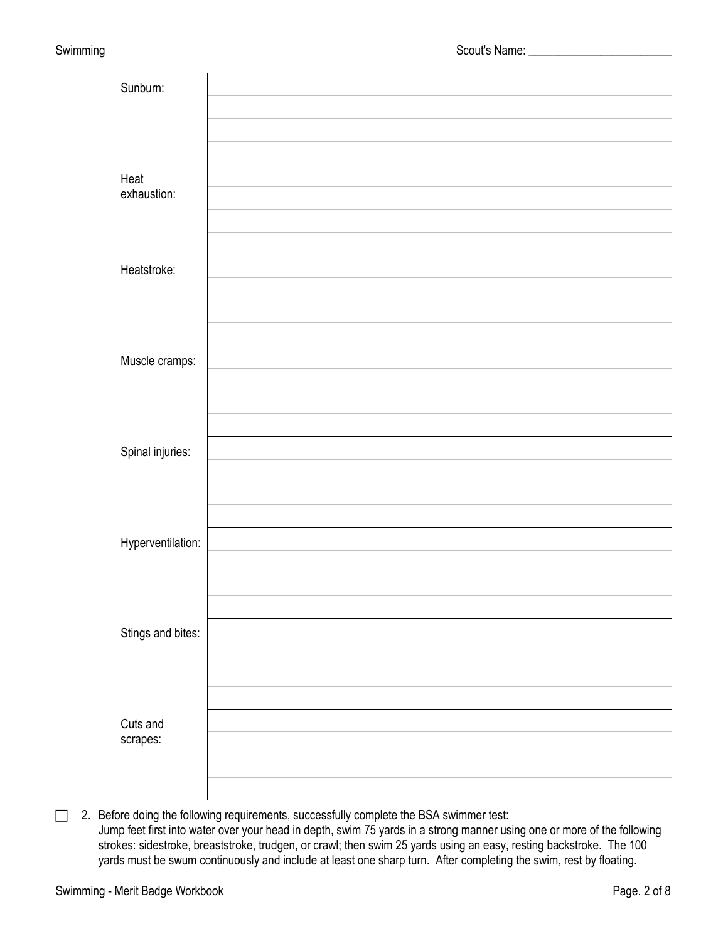| Sunburn:            |  |
|---------------------|--|
|                     |  |
|                     |  |
|                     |  |
| Heat<br>exhaustion: |  |
|                     |  |
|                     |  |
| Heatstroke:         |  |
|                     |  |
|                     |  |
|                     |  |
| Muscle cramps:      |  |
|                     |  |
|                     |  |
| Spinal injuries:    |  |
|                     |  |
|                     |  |
|                     |  |
| Hyperventilation:   |  |
|                     |  |
|                     |  |
| Stings and bites:   |  |
|                     |  |
|                     |  |
|                     |  |
| Cuts and            |  |
| scrapes:            |  |
|                     |  |
|                     |  |

 $\Box$  2. Before doing the following requirements, successfully complete the BSA swimmer test: Jump feet first into water over your head in depth, swim 75 yards in a strong manner using one or more of the following strokes: sidestroke, breaststroke, trudgen, or crawl; then swim 25 yards using an easy, resting backstroke. The 100 yards must be swum continuously and include at least one sharp turn. After completing the swim, rest by floating.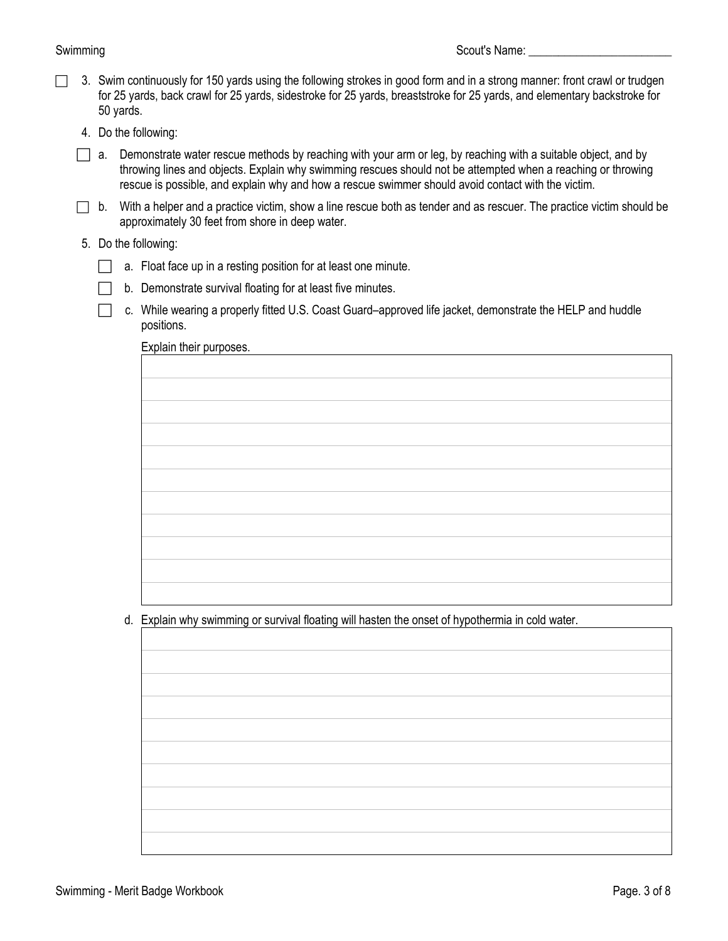- $\Box$  3. Swim continuously for 150 yards using the following strokes in good form and in a strong manner: front crawl or trudgen for 25 yards, back crawl for 25 yards, sidestroke for 25 yards, breaststroke for 25 yards, and elementary backstroke for 50 yards.
	- 4. Do the following:
	- a. Demonstrate water rescue methods by reaching with your arm or leg, by reaching with a suitable object, and by throwing lines and objects. Explain why swimming rescues should not be attempted when a reaching or throwing rescue is possible, and explain why and how a rescue swimmer should avoid contact with the victim.
	- $\Box$  b. With a helper and a practice victim, show a line rescue both as tender and as rescuer. The practice victim should be approximately 30 feet from shore in deep water.
	- 5. Do the following:
		- $\Box$  a. Float face up in a resting position for at least one minute.
		- $\Box$  b. Demonstrate survival floating for at least five minutes.
		- □ c. While wearing a properly fitted U.S. Coast Guard–approved life jacket, demonstrate the HELP and huddle positions.

Explain their purposes.

d. Explain why swimming or survival floating will hasten the onset of hypothermia in cold water.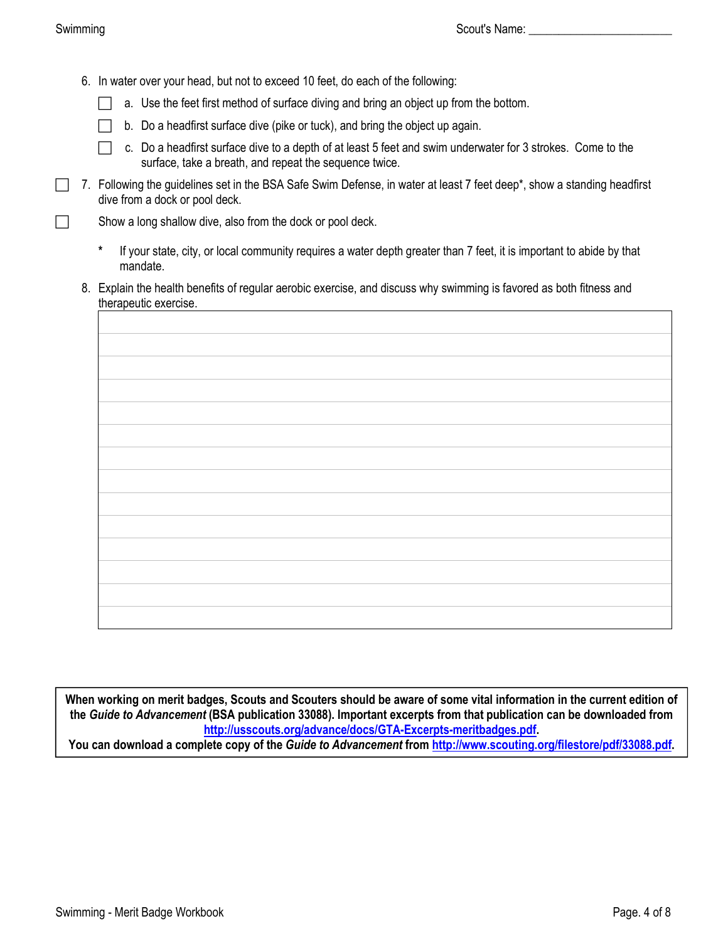- 6. In water over your head, but not to exceed 10 feet, do each of the following:
	- a. Use the feet first method of surface diving and bring an object up from the bottom.
	- $\Box$  b. Do a headfirst surface dive (pike or tuck), and bring the object up again.
	- □ c. Do a headfirst surface dive to a depth of at least 5 feet and swim underwater for 3 strokes. Come to the surface, take a breath, and repeat the sequence twice.
- 7. Following the guidelines set in the BSA Safe Swim Defense, in water at least 7 feet deep\*, show a standing headfirst dive from a dock or pool deck.

 $\Box$  Show a long shallow dive, also from the dock or pool deck.

- **\*** If your state, city, or local community requires a water depth greater than 7 feet, it is important to abide by that mandate.
- 8. Explain the health benefits of regular aerobic exercise, and discuss why swimming is favored as both fitness and therapeutic exercise.

**When working on merit badges, Scouts and Scouters should be aware of some vital information in the current edition of the** *Guide to Advancement* **(BSA publication 33088). Important excerpts from that publication can be downloaded from <http://usscouts.org/advance/docs/GTA-Excerpts-meritbadges.pdf>.** 

**You can download a complete copy of the** *Guide to Advancement* **from <http://www.scouting.org/filestore/pdf/33088.pdf>.**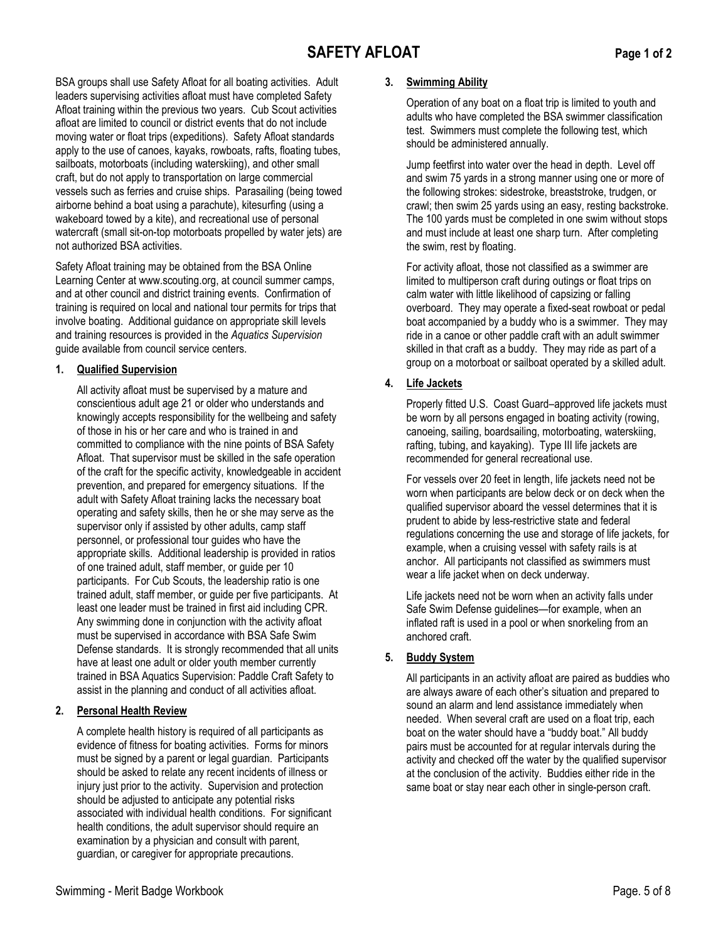### **SAFETY AFLOAT Page 1 of 2**

BSA groups shall use Safety Afloat for all boating activities. Adult leaders supervising activities afloat must have completed Safety Afloat training within the previous two years. Cub Scout activities afloat are limited to council or district events that do not include moving water or float trips (expeditions). Safety Afloat standards apply to the use of canoes, kayaks, rowboats, rafts, floating tubes, sailboats, motorboats (including waterskiing), and other small craft, but do not apply to transportation on large commercial vessels such as ferries and cruise ships. Parasailing (being towed airborne behind a boat using a parachute), kitesurfing (using a wakeboard towed by a kite), and recreational use of personal watercraft (small sit-on-top motorboats propelled by water jets) are not authorized BSA activities.

Safety Afloat training may be obtained from the BSA Online Learning Center at www.scouting.org, at council summer camps, and at other council and district training events. Confirmation of training is required on local and national tour permits for trips that involve boating. Additional guidance on appropriate skill levels and training resources is provided in the *Aquatics Supervision* guide available from council service centers.

#### **1. Qualified Supervision**

All activity afloat must be supervised by a mature and conscientious adult age 21 or older who understands and knowingly accepts responsibility for the wellbeing and safety of those in his or her care and who is trained in and committed to compliance with the nine points of BSA Safety Afloat. That supervisor must be skilled in the safe operation of the craft for the specific activity, knowledgeable in accident prevention, and prepared for emergency situations. If the adult with Safety Afloat training lacks the necessary boat operating and safety skills, then he or she may serve as the supervisor only if assisted by other adults, camp staff personnel, or professional tour guides who have the appropriate skills. Additional leadership is provided in ratios of one trained adult, staff member, or guide per 10 participants. For Cub Scouts, the leadership ratio is one trained adult, staff member, or guide per five participants. At least one leader must be trained in first aid including CPR. Any swimming done in conjunction with the activity afloat must be supervised in accordance with BSA Safe Swim Defense standards. It is strongly recommended that all units have at least one adult or older youth member currently trained in BSA Aquatics Supervision: Paddle Craft Safety to assist in the planning and conduct of all activities afloat.

#### **2. Personal Health Review**

A complete health history is required of all participants as evidence of fitness for boating activities. Forms for minors must be signed by a parent or legal guardian. Participants should be asked to relate any recent incidents of illness or injury just prior to the activity. Supervision and protection should be adjusted to anticipate any potential risks associated with individual health conditions. For significant health conditions, the adult supervisor should require an examination by a physician and consult with parent, guardian, or caregiver for appropriate precautions.

#### **3. Swimming Ability**

Operation of any boat on a float trip is limited to youth and adults who have completed the BSA swimmer classification test. Swimmers must complete the following test, which should be administered annually.

Jump feetfirst into water over the head in depth. Level off and swim 75 yards in a strong manner using one or more of the following strokes: sidestroke, breaststroke, trudgen, or crawl; then swim 25 yards using an easy, resting backstroke. The 100 yards must be completed in one swim without stops and must include at least one sharp turn. After completing the swim, rest by floating.

For activity afloat, those not classified as a swimmer are limited to multiperson craft during outings or float trips on calm water with little likelihood of capsizing or falling overboard. They may operate a fixed-seat rowboat or pedal boat accompanied by a buddy who is a swimmer. They may ride in a canoe or other paddle craft with an adult swimmer skilled in that craft as a buddy. They may ride as part of a group on a motorboat or sailboat operated by a skilled adult.

#### **4. Life Jackets**

Properly fitted U.S. Coast Guard–approved life jackets must be worn by all persons engaged in boating activity (rowing, canoeing, sailing, boardsailing, motorboating, waterskiing, rafting, tubing, and kayaking). Type III life jackets are recommended for general recreational use.

For vessels over 20 feet in length, life jackets need not be worn when participants are below deck or on deck when the qualified supervisor aboard the vessel determines that it is prudent to abide by less-restrictive state and federal regulations concerning the use and storage of life jackets, for example, when a cruising vessel with safety rails is at anchor. All participants not classified as swimmers must wear a life jacket when on deck underway.

Life jackets need not be worn when an activity falls under Safe Swim Defense guidelines—for example, when an inflated raft is used in a pool or when snorkeling from an anchored craft.

#### **5. Buddy System**

All participants in an activity afloat are paired as buddies who are always aware of each other's situation and prepared to sound an alarm and lend assistance immediately when needed. When several craft are used on a float trip, each boat on the water should have a "buddy boat." All buddy pairs must be accounted for at regular intervals during the activity and checked off the water by the qualified supervisor at the conclusion of the activity. Buddies either ride in the same boat or stay near each other in single-person craft.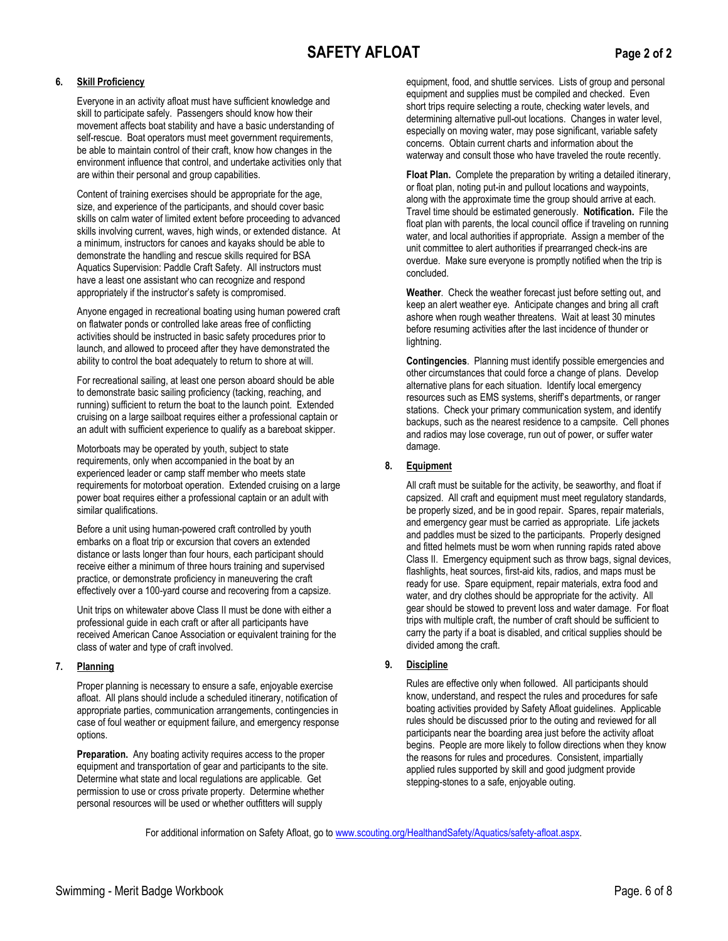#### **6. Skill Proficiency**

Everyone in an activity afloat must have sufficient knowledge and skill to participate safely. Passengers should know how their movement affects boat stability and have a basic understanding of self-rescue. Boat operators must meet government requirements, be able to maintain control of their craft, know how changes in the environment influence that control, and undertake activities only that are within their personal and group capabilities.

Content of training exercises should be appropriate for the age, size, and experience of the participants, and should cover basic skills on calm water of limited extent before proceeding to advanced skills involving current, waves, high winds, or extended distance. At a minimum, instructors for canoes and kayaks should be able to demonstrate the handling and rescue skills required for BSA Aquatics Supervision: Paddle Craft Safety. All instructors must have a least one assistant who can recognize and respond appropriately if the instructor's safety is compromised.

Anyone engaged in recreational boating using human powered craft on flatwater ponds or controlled lake areas free of conflicting activities should be instructed in basic safety procedures prior to launch, and allowed to proceed after they have demonstrated the ability to control the boat adequately to return to shore at will.

For recreational sailing, at least one person aboard should be able to demonstrate basic sailing proficiency (tacking, reaching, and running) sufficient to return the boat to the launch point. Extended cruising on a large sailboat requires either a professional captain or an adult with sufficient experience to qualify as a bareboat skipper.

Motorboats may be operated by youth, subject to state requirements, only when accompanied in the boat by an experienced leader or camp staff member who meets state requirements for motorboat operation. Extended cruising on a large power boat requires either a professional captain or an adult with similar qualifications.

Before a unit using human-powered craft controlled by youth embarks on a float trip or excursion that covers an extended distance or lasts longer than four hours, each participant should receive either a minimum of three hours training and supervised practice, or demonstrate proficiency in maneuvering the craft effectively over a 100-yard course and recovering from a capsize.

Unit trips on whitewater above Class II must be done with either a professional guide in each craft or after all participants have received American Canoe Association or equivalent training for the class of water and type of craft involved.

#### **7. Planning**

Proper planning is necessary to ensure a safe, enjoyable exercise afloat. All plans should include a scheduled itinerary, notification of appropriate parties, communication arrangements, contingencies in case of foul weather or equipment failure, and emergency response options.

**Preparation.** Any boating activity requires access to the proper equipment and transportation of gear and participants to the site. Determine what state and local regulations are applicable. Get permission to use or cross private property. Determine whether personal resources will be used or whether outfitters will supply

equipment, food, and shuttle services. Lists of group and personal equipment and supplies must be compiled and checked. Even short trips require selecting a route, checking water levels, and determining alternative pull-out locations. Changes in water level, especially on moving water, may pose significant, variable safety concerns. Obtain current charts and information about the waterway and consult those who have traveled the route recently.

**Float Plan.** Complete the preparation by writing a detailed itinerary, or float plan, noting put-in and pullout locations and waypoints, along with the approximate time the group should arrive at each. Travel time should be estimated generously. **Notification.** File the float plan with parents, the local council office if traveling on running water, and local authorities if appropriate. Assign a member of the unit committee to alert authorities if prearranged check-ins are overdue. Make sure everyone is promptly notified when the trip is concluded.

**Weather**. Check the weather forecast just before setting out, and keep an alert weather eye. Anticipate changes and bring all craft ashore when rough weather threatens. Wait at least 30 minutes before resuming activities after the last incidence of thunder or lightning.

**Contingencies**. Planning must identify possible emergencies and other circumstances that could force a change of plans. Develop alternative plans for each situation. Identify local emergency resources such as EMS systems, sheriff's departments, or ranger stations. Check your primary communication system, and identify backups, such as the nearest residence to a campsite. Cell phones and radios may lose coverage, run out of power, or suffer water damage.

#### **8. Equipment**

All craft must be suitable for the activity, be seaworthy, and float if capsized. All craft and equipment must meet regulatory standards, be properly sized, and be in good repair. Spares, repair materials, and emergency gear must be carried as appropriate. Life jackets and paddles must be sized to the participants. Properly designed and fitted helmets must be worn when running rapids rated above Class II. Emergency equipment such as throw bags, signal devices, flashlights, heat sources, first-aid kits, radios, and maps must be ready for use. Spare equipment, repair materials, extra food and water, and dry clothes should be appropriate for the activity. All gear should be stowed to prevent loss and water damage. For float trips with multiple craft, the number of craft should be sufficient to carry the party if a boat is disabled, and critical supplies should be divided among the craft.

#### **9. Discipline**

Rules are effective only when followed. All participants should know, understand, and respect the rules and procedures for safe boating activities provided by Safety Afloat guidelines. Applicable rules should be discussed prior to the outing and reviewed for all participants near the boarding area just before the activity afloat begins. People are more likely to follow directions when they know the reasons for rules and procedures. Consistent, impartially applied rules supported by skill and good judgment provide stepping-stones to a safe, enjoyable outing.

For additional information on Safety Afloat, go to www.scouting.org/HealthandSafety/Aquatics/safety-afloat.aspx.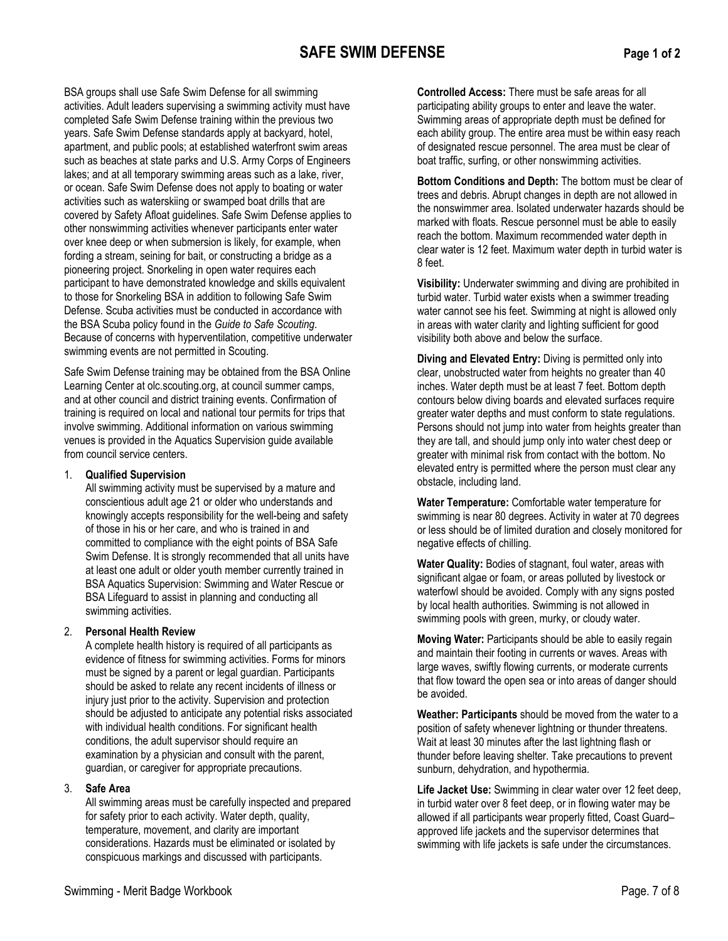#### **SAFE SWIM DEFENSE Page 1 of 2**

BSA groups shall use Safe Swim Defense for all swimming activities. Adult leaders supervising a swimming activity must have completed Safe Swim Defense training within the previous two years. Safe Swim Defense standards apply at backyard, hotel, apartment, and public pools; at established waterfront swim areas such as beaches at state parks and U.S. Army Corps of Engineers lakes; and at all temporary swimming areas such as a lake, river, or ocean. Safe Swim Defense does not apply to boating or water activities such as waterskiing or swamped boat drills that are covered by Safety Afloat guidelines. Safe Swim Defense applies to other nonswimming activities whenever participants enter water over knee deep or when submersion is likely, for example, when fording a stream, seining for bait, or constructing a bridge as a pioneering project. Snorkeling in open water requires each participant to have demonstrated knowledge and skills equivalent to those for Snorkeling BSA in addition to following Safe Swim Defense. Scuba activities must be conducted in accordance with the BSA Scuba policy found in the *Guide to Safe Scouting*. Because of concerns with hyperventilation, competitive underwater swimming events are not permitted in Scouting.

Safe Swim Defense training may be obtained from the BSA Online Learning Center at olc.scouting.org, at council summer camps, and at other council and district training events. Confirmation of training is required on local and national tour permits for trips that involve swimming. Additional information on various swimming venues is provided in the Aquatics Supervision guide available from council service centers.

#### 1. **Qualified Supervision**

All swimming activity must be supervised by a mature and conscientious adult age 21 or older who understands and knowingly accepts responsibility for the well-being and safety of those in his or her care, and who is trained in and committed to compliance with the eight points of BSA Safe Swim Defense. It is strongly recommended that all units have at least one adult or older youth member currently trained in BSA Aquatics Supervision: Swimming and Water Rescue or BSA Lifeguard to assist in planning and conducting all swimming activities.

#### 2. **Personal Health Review**

A complete health history is required of all participants as evidence of fitness for swimming activities. Forms for minors must be signed by a parent or legal guardian. Participants should be asked to relate any recent incidents of illness or injury just prior to the activity. Supervision and protection should be adjusted to anticipate any potential risks associated with individual health conditions. For significant health conditions, the adult supervisor should require an examination by a physician and consult with the parent, guardian, or caregiver for appropriate precautions.

#### 3. **Safe Area**

All swimming areas must be carefully inspected and prepared for safety prior to each activity. Water depth, quality, temperature, movement, and clarity are important considerations. Hazards must be eliminated or isolated by conspicuous markings and discussed with participants.

**Controlled Access:** There must be safe areas for all participating ability groups to enter and leave the water. Swimming areas of appropriate depth must be defined for each ability group. The entire area must be within easy reach of designated rescue personnel. The area must be clear of boat traffic, surfing, or other nonswimming activities.

**Bottom Conditions and Depth:** The bottom must be clear of trees and debris. Abrupt changes in depth are not allowed in the nonswimmer area. Isolated underwater hazards should be marked with floats. Rescue personnel must be able to easily reach the bottom. Maximum recommended water depth in clear water is 12 feet. Maximum water depth in turbid water is 8 feet.

**Visibility:** Underwater swimming and diving are prohibited in turbid water. Turbid water exists when a swimmer treading water cannot see his feet. Swimming at night is allowed only in areas with water clarity and lighting sufficient for good visibility both above and below the surface.

**Diving and Elevated Entry:** Diving is permitted only into clear, unobstructed water from heights no greater than 40 inches. Water depth must be at least 7 feet. Bottom depth contours below diving boards and elevated surfaces require greater water depths and must conform to state regulations. Persons should not jump into water from heights greater than they are tall, and should jump only into water chest deep or greater with minimal risk from contact with the bottom. No elevated entry is permitted where the person must clear any obstacle, including land.

**Water Temperature:** Comfortable water temperature for swimming is near 80 degrees. Activity in water at 70 degrees or less should be of limited duration and closely monitored for negative effects of chilling.

**Water Quality:** Bodies of stagnant, foul water, areas with significant algae or foam, or areas polluted by livestock or waterfowl should be avoided. Comply with any signs posted by local health authorities. Swimming is not allowed in swimming pools with green, murky, or cloudy water.

**Moving Water:** Participants should be able to easily regain and maintain their footing in currents or waves. Areas with large waves, swiftly flowing currents, or moderate currents that flow toward the open sea or into areas of danger should be avoided.

**Weather: Participants** should be moved from the water to a position of safety whenever lightning or thunder threatens. Wait at least 30 minutes after the last lightning flash or thunder before leaving shelter. Take precautions to prevent sunburn, dehydration, and hypothermia.

**Life Jacket Use:** Swimming in clear water over 12 feet deep, in turbid water over 8 feet deep, or in flowing water may be allowed if all participants wear properly fitted, Coast Guard– approved life jackets and the supervisor determines that swimming with life jackets is safe under the circumstances.